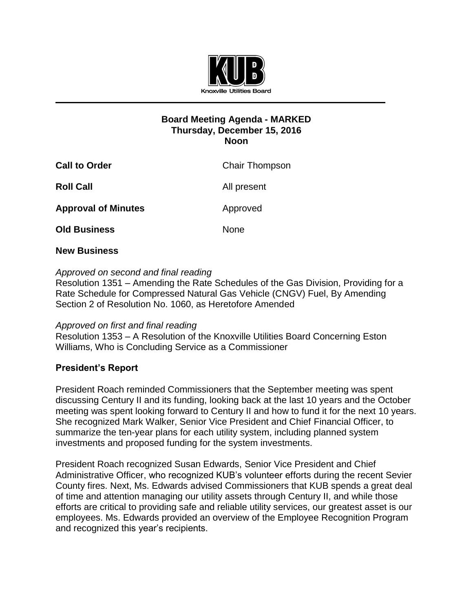

# **Board Meeting Agenda - MARKED Thursday, December 15, 2016 Noon**

| <b>Chair Thompson</b> |
|-----------------------|
| All present           |
| Approved              |
| <b>None</b>           |
|                       |

# **New Business**

## *Approved on second and final reading*

Resolution 1351 – Amending the Rate Schedules of the Gas Division, Providing for a Rate Schedule for Compressed Natural Gas Vehicle (CNGV) Fuel, By Amending Section 2 of Resolution No. 1060, as Heretofore Amended

## *Approved on first and final reading*

Resolution 1353 – A Resolution of the Knoxville Utilities Board Concerning Eston Williams, Who is Concluding Service as a Commissioner

# **President's Report**

President Roach reminded Commissioners that the September meeting was spent discussing Century II and its funding, looking back at the last 10 years and the October meeting was spent looking forward to Century II and how to fund it for the next 10 years. She recognized Mark Walker, Senior Vice President and Chief Financial Officer, to summarize the ten-year plans for each utility system, including planned system investments and proposed funding for the system investments.

President Roach recognized Susan Edwards, Senior Vice President and Chief Administrative Officer, who recognized KUB's volunteer efforts during the recent Sevier County fires. Next, Ms. Edwards advised Commissioners that KUB spends a great deal of time and attention managing our utility assets through Century II, and while those efforts are critical to providing safe and reliable utility services, our greatest asset is our employees. Ms. Edwards provided an overview of the Employee Recognition Program and recognized this year's recipients.